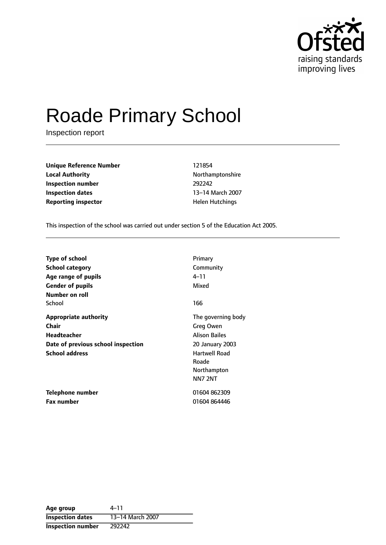

# Roade Primary School

Inspection report

**Unique Reference Number** 121854 **Local Authority Northamptonshire Inspection number** 292242 **Inspection dates** 13-14 March 2007 **Reporting inspector All and Separation Controls Are Hutchings** 

This inspection of the school was carried out under section 5 of the Education Act 2005.

| <b>Type of school</b>              | Primary                |
|------------------------------------|------------------------|
| School category                    | Community              |
| Age range of pupils                | 4–11                   |
| <b>Gender of pupils</b>            | Mixed                  |
| Number on roll                     |                        |
| School                             | 166                    |
| <b>Appropriate authority</b>       | The governing body     |
| Chair                              | Greg Owen              |
| <b>Headteacher</b>                 | <b>Alison Bailes</b>   |
| Date of previous school inspection | <b>20 January 2003</b> |
| <b>School address</b>              | Hartwell Road          |
|                                    | Roade                  |
|                                    | Northampton            |
|                                    | <b>NN7 2NT</b>         |
| Telephone number                   | 01604862309            |
| <b>Fax number</b>                  | 01604864446            |

| Age group               | $4 - 11$         |
|-------------------------|------------------|
| <b>Inspection dates</b> | 13-14 March 2007 |
| Inspection number       | 292242           |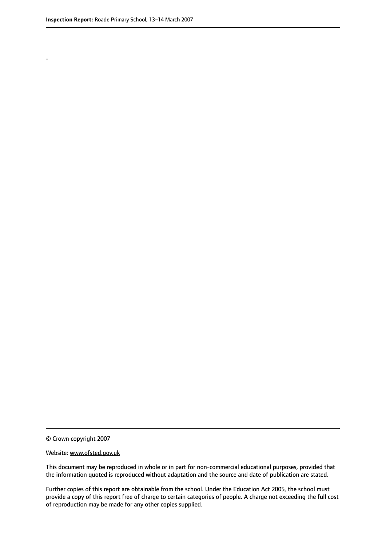.

© Crown copyright 2007

#### Website: www.ofsted.gov.uk

This document may be reproduced in whole or in part for non-commercial educational purposes, provided that the information quoted is reproduced without adaptation and the source and date of publication are stated.

Further copies of this report are obtainable from the school. Under the Education Act 2005, the school must provide a copy of this report free of charge to certain categories of people. A charge not exceeding the full cost of reproduction may be made for any other copies supplied.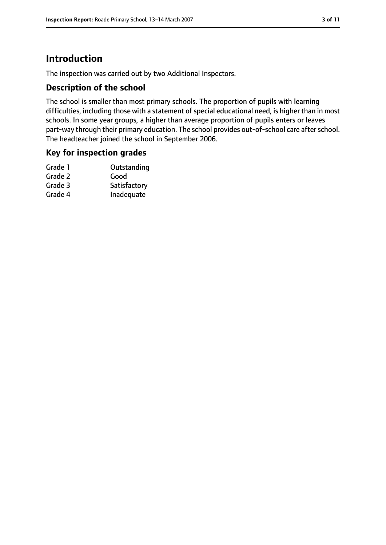# **Introduction**

The inspection was carried out by two Additional Inspectors.

## **Description of the school**

The school is smaller than most primary schools. The proportion of pupils with learning difficulties, including those with a statement of special educational need, is higher than in most schools. In some year groups, a higher than average proportion of pupils enters or leaves part-way through their primary education. The school provides out-of-school care after school. The headteacher joined the school in September 2006.

## **Key for inspection grades**

| Outstanding  |
|--------------|
| Good         |
| Satisfactory |
| Inadequate   |
|              |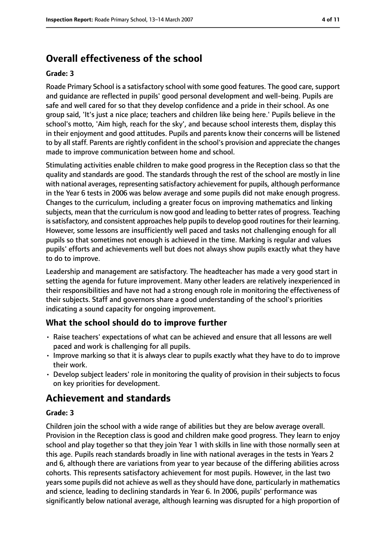# **Overall effectiveness of the school**

#### **Grade: 3**

Roade Primary School is a satisfactory school with some good features. The good care, support and guidance are reflected in pupils' good personal development and well-being. Pupils are safe and well cared for so that they develop confidence and a pride in their school. As one group said, 'It's just a nice place; teachers and children like being here.' Pupils believe in the school's motto, 'Aim high, reach for the sky', and because school interests them, display this in their enjoyment and good attitudes. Pupils and parents know their concerns will be listened to by all staff. Parents are rightly confident in the school's provision and appreciate the changes made to improve communication between home and school.

Stimulating activities enable children to make good progress in the Reception class so that the quality and standards are good. The standards through the rest of the school are mostly in line with national averages, representing satisfactory achievement for pupils, although performance in the Year 6 tests in 2006 was below average and some pupils did not make enough progress. Changes to the curriculum, including a greater focus on improving mathematics and linking subjects, mean that the curriculum is now good and leading to better rates of progress. Teaching is satisfactory, and consistent approaches help pupils to develop good routines for their learning. However, some lessons are insufficiently well paced and tasks not challenging enough for all pupils so that sometimes not enough is achieved in the time. Marking is regular and values pupils' efforts and achievements well but does not always show pupils exactly what they have to do to improve.

Leadership and management are satisfactory. The headteacher has made a very good start in setting the agenda for future improvement. Many other leaders are relatively inexperienced in their responsibilities and have not had a strong enough role in monitoring the effectiveness of their subjects. Staff and governors share a good understanding of the school's priorities indicating a sound capacity for ongoing improvement.

## **What the school should do to improve further**

- Raise teachers' expectations of what can be achieved and ensure that all lessons are well paced and work is challenging for all pupils.
- Improve marking so that it is always clear to pupils exactly what they have to do to improve their work.
- Develop subject leaders' role in monitoring the quality of provision in their subjects to focus on key priorities for development.

## **Achievement and standards**

#### **Grade: 3**

Children join the school with a wide range of abilities but they are below average overall. Provision in the Reception class is good and children make good progress. They learn to enjoy school and play together so that they join Year 1 with skills in line with those normally seen at this age. Pupils reach standards broadly in line with national averages in the tests in Years 2 and 6, although there are variations from year to year because of the differing abilities across cohorts. This represents satisfactory achievement for most pupils. However, in the last two years some pupils did not achieve as well as they should have done, particularly in mathematics and science, leading to declining standards in Year 6. In 2006, pupils' performance was significantly below national average, although learning was disrupted for a high proportion of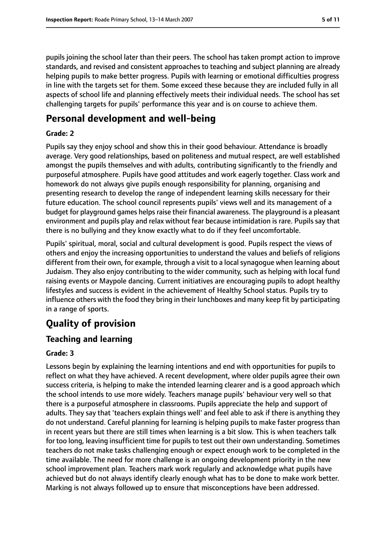pupils joining the school later than their peers. The school has taken prompt action to improve standards, and revised and consistent approaches to teaching and subject planning are already helping pupils to make better progress. Pupils with learning or emotional difficulties progress in line with the targets set for them. Some exceed these because they are included fully in all aspects of school life and planning effectively meets their individual needs. The school has set challenging targets for pupils' performance this year and is on course to achieve them.

# **Personal development and well-being**

#### **Grade: 2**

Pupils say they enjoy school and show this in their good behaviour. Attendance is broadly average. Very good relationships, based on politeness and mutual respect, are well established amongst the pupils themselves and with adults, contributing significantly to the friendly and purposeful atmosphere. Pupils have good attitudes and work eagerly together. Class work and homework do not always give pupils enough responsibility for planning, organising and presenting research to develop the range of independent learning skills necessary for their future education. The school council represents pupils' views well and its management of a budget for playground games helps raise their financial awareness. The playground is a pleasant environment and pupils play and relax without fear because intimidation is rare. Pupils say that there is no bullying and they know exactly what to do if they feel uncomfortable.

Pupils' spiritual, moral, social and cultural development is good. Pupils respect the views of others and enjoy the increasing opportunities to understand the values and beliefs of religions different from their own, for example, through a visit to a local synagogue when learning about Judaism. They also enjoy contributing to the wider community, such as helping with local fund raising events or Maypole dancing. Current initiatives are encouraging pupils to adopt healthy lifestyles and success is evident in the achievement of Healthy School status. Pupils try to influence others with the food they bring in their lunchboxes and many keep fit by participating in a range of sports.

# **Quality of provision**

## **Teaching and learning**

#### **Grade: 3**

Lessons begin by explaining the learning intentions and end with opportunities for pupils to reflect on what they have achieved. A recent development, where older pupils agree their own success criteria, is helping to make the intended learning clearer and is a good approach which the school intends to use more widely. Teachers manage pupils' behaviour very well so that there is a purposeful atmosphere in classrooms. Pupils appreciate the help and support of adults. They say that 'teachers explain things well' and feel able to ask if there is anything they do not understand. Careful planning for learning is helping pupils to make faster progress than in recent years but there are still times when learning is a bit slow. This is when teachers talk for too long, leaving insufficient time for pupils to test out their own understanding. Sometimes teachers do not make tasks challenging enough or expect enough work to be completed in the time available. The need for more challenge is an ongoing development priority in the new school improvement plan. Teachers mark work regularly and acknowledge what pupils have achieved but do not always identify clearly enough what has to be done to make work better. Marking is not always followed up to ensure that misconceptions have been addressed.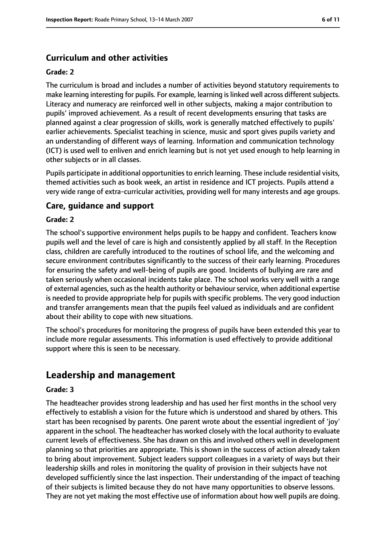## **Curriculum and other activities**

#### **Grade: 2**

The curriculum is broad and includes a number of activities beyond statutory requirements to make learning interesting for pupils. For example, learning is linked well across different subjects. Literacy and numeracy are reinforced well in other subjects, making a major contribution to pupils' improved achievement. As a result of recent developments ensuring that tasks are planned against a clear progression of skills, work is generally matched effectively to pupils' earlier achievements. Specialist teaching in science, music and sport gives pupils variety and an understanding of different ways of learning. Information and communication technology (ICT) is used well to enliven and enrich learning but is not yet used enough to help learning in other subjects or in all classes.

Pupils participate in additional opportunities to enrich learning. These include residential visits, themed activities such as book week, an artist in residence and ICT projects. Pupils attend a very wide range of extra-curricular activities, providing well for many interests and age groups.

## **Care, guidance and support**

#### **Grade: 2**

The school's supportive environment helps pupils to be happy and confident. Teachers know pupils well and the level of care is high and consistently applied by all staff. In the Reception class, children are carefully introduced to the routines of school life, and the welcoming and secure environment contributes significantly to the success of their early learning. Procedures for ensuring the safety and well-being of pupils are good. Incidents of bullying are rare and taken seriously when occasional incidents take place. The school works very well with a range of external agencies, such as the health authority or behaviour service, when additional expertise is needed to provide appropriate help for pupils with specific problems. The very good induction and transfer arrangements mean that the pupils feel valued as individuals and are confident about their ability to cope with new situations.

The school's procedures for monitoring the progress of pupils have been extended this year to include more regular assessments. This information is used effectively to provide additional support where this is seen to be necessary.

## **Leadership and management**

#### **Grade: 3**

The headteacher provides strong leadership and has used her first months in the school very effectively to establish a vision for the future which is understood and shared by others. This start has been recognised by parents. One parent wrote about the essential ingredient of 'joy' apparent in the school. The headteacher has worked closely with the local authority to evaluate current levels of effectiveness. She has drawn on this and involved others well in development planning so that priorities are appropriate. This is shown in the success of action already taken to bring about improvement. Subject leaders support colleagues in a variety of ways but their leadership skills and roles in monitoring the quality of provision in their subjects have not developed sufficiently since the last inspection. Their understanding of the impact of teaching of their subjects is limited because they do not have many opportunities to observe lessons. They are not yet making the most effective use of information about how well pupils are doing.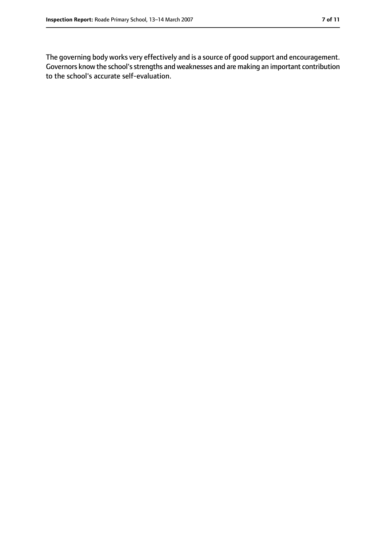The governing body works very effectively and is a source of good support and encouragement. Governors know the school'sstrengths and weaknesses and are making an important contribution to the school's accurate self-evaluation.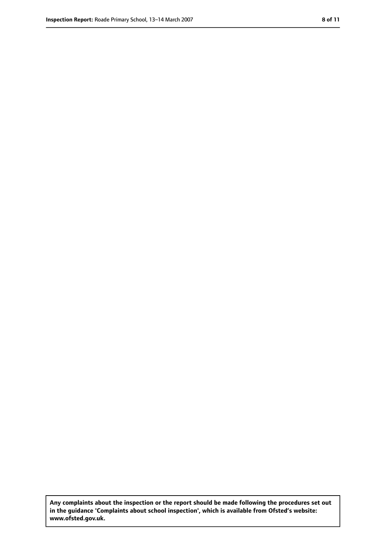**Any complaints about the inspection or the report should be made following the procedures set out in the guidance 'Complaints about school inspection', which is available from Ofsted's website: www.ofsted.gov.uk.**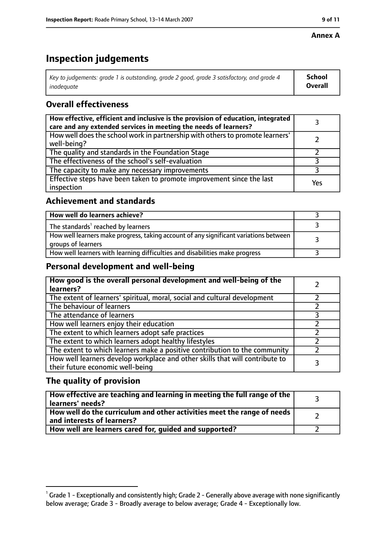#### **Annex A**

# **Inspection judgements**

| Key to judgements: grade 1 is outstanding, grade 2 good, grade 3 satisfactory, and grade 4 $\,$ | <b>School</b>  |
|-------------------------------------------------------------------------------------------------|----------------|
| inadequate                                                                                      | <b>Overall</b> |

## **Overall effectiveness**

| How effective, efficient and inclusive is the provision of education, integrated<br>care and any extended services in meeting the needs of learners? |     |
|------------------------------------------------------------------------------------------------------------------------------------------------------|-----|
| How well does the school work in partnership with others to promote learners'<br>well-being?                                                         |     |
| The quality and standards in the Foundation Stage                                                                                                    |     |
| The effectiveness of the school's self-evaluation                                                                                                    |     |
| The capacity to make any necessary improvements                                                                                                      |     |
| Effective steps have been taken to promote improvement since the last<br>inspection                                                                  | Yes |

## **Achievement and standards**

| How well do learners achieve?                                                                               |  |
|-------------------------------------------------------------------------------------------------------------|--|
| The standards <sup>1</sup> reached by learners                                                              |  |
| How well learners make progress, taking account of any significant variations between<br>groups of learners |  |
| How well learners with learning difficulties and disabilities make progress                                 |  |

## **Personal development and well-being**

| How good is the overall personal development and well-being of the<br>learners?                                  |  |
|------------------------------------------------------------------------------------------------------------------|--|
| The extent of learners' spiritual, moral, social and cultural development                                        |  |
| The behaviour of learners                                                                                        |  |
| The attendance of learners                                                                                       |  |
| How well learners enjoy their education                                                                          |  |
| The extent to which learners adopt safe practices                                                                |  |
| The extent to which learners adopt healthy lifestyles                                                            |  |
| The extent to which learners make a positive contribution to the community                                       |  |
| How well learners develop workplace and other skills that will contribute to<br>their future economic well-being |  |

## **The quality of provision**

| How effective are teaching and learning in meeting the full range of the<br>learners' needs?          |  |
|-------------------------------------------------------------------------------------------------------|--|
| How well do the curriculum and other activities meet the range of needs<br>and interests of learners? |  |
| How well are learners cared for, guided and supported?                                                |  |

 $^1$  Grade 1 - Exceptionally and consistently high; Grade 2 - Generally above average with none significantly below average; Grade 3 - Broadly average to below average; Grade 4 - Exceptionally low.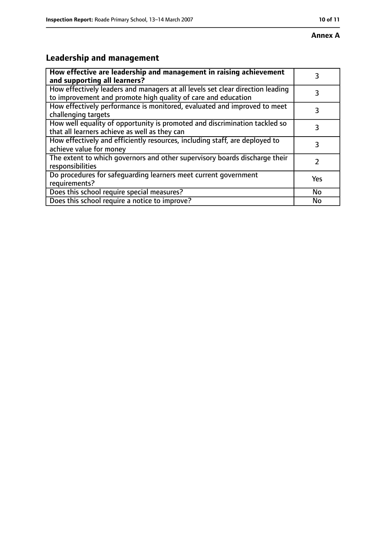# **Leadership and management**

| How effective are leadership and management in raising achievement<br>and supporting all learners?                                              | 3   |
|-------------------------------------------------------------------------------------------------------------------------------------------------|-----|
| How effectively leaders and managers at all levels set clear direction leading<br>to improvement and promote high quality of care and education |     |
| How effectively performance is monitored, evaluated and improved to meet<br>challenging targets                                                 | 3   |
| How well equality of opportunity is promoted and discrimination tackled so<br>that all learners achieve as well as they can                     | 3   |
| How effectively and efficiently resources, including staff, are deployed to<br>achieve value for money                                          | З   |
| The extent to which governors and other supervisory boards discharge their<br>responsibilities                                                  |     |
| Do procedures for safequarding learners meet current government<br>requirements?                                                                | Yes |
| Does this school require special measures?                                                                                                      | No  |
| Does this school require a notice to improve?                                                                                                   | No  |